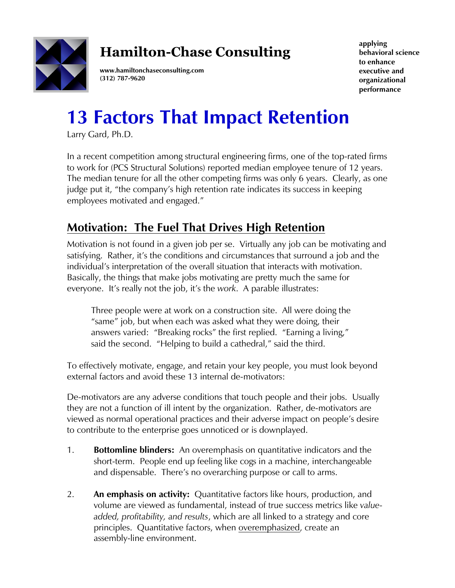

## **Hamilton-Chase Consulting**

**www.hamiltonchaseconsulting.com (312) 787-9620**

**applying behavioral science to enhance executive and organizational performance**

## **13 Factors That Impact Retention**

Larry Gard, Ph.D.

In a recent competition among structural engineering firms, one of the top-rated firms to work for (PCS Structural Solutions) reported median employee tenure of 12 years. The median tenure for all the other competing firms was only 6 years. Clearly, as one judge put it, "the company's high retention rate indicates its success in keeping employees motivated and engaged."

## **Motivation: The Fuel That Drives High Retention**

Motivation is not found in a given job per se. Virtually any job can be motivating and satisfying. Rather, it's the conditions and circumstances that surround a job and the individual's interpretation of the overall situation that interacts with motivation. Basically, the things that make jobs motivating are pretty much the same for everyone. It's really not the job, it's the *work*. A parable illustrates:

Three people were at work on a construction site. All were doing the "same" job, but when each was asked what they were doing, their answers varied: "Breaking rocks" the first replied. "Earning a living," said the second. "Helping to build a cathedral," said the third.

To effectively motivate, engage, and retain your key people, you must look beyond external factors and avoid these 13 internal de-motivators:

De-motivators are any adverse conditions that touch people and their jobs. Usually they are not a function of ill intent by the organization. Rather, de-motivators are viewed as normal operational practices and their adverse impact on people's desire to contribute to the enterprise goes unnoticed or is downplayed.

- 1. **Bottomline blinders:** An overemphasis on quantitative indicators and the short-term. People end up feeling like cogs in a machine, interchangeable and dispensable. There's no overarching purpose or call to arms.
- 2. **An emphasis on activity:** Quantitative factors like hours, production, and volume are viewed as fundamental, instead of true success metrics like *valueadded, profitability, and results*, which are all linked to a strategy and core principles. Quantitative factors, when overemphasized, create an assembly-line environment.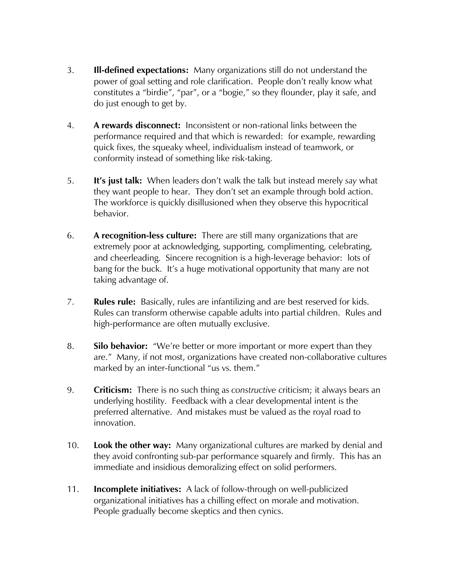- 3. **Ill-defined expectations:** Many organizations still do not understand the power of goal setting and role clarification. People don't really know what constitutes a "birdie", "par", or a "bogie," so they flounder, play it safe, and do just enough to get by.
- 4. **A rewards disconnect:** Inconsistent or non-rational links between the performance required and that which is rewarded: for example, rewarding quick fixes, the squeaky wheel, individualism instead of teamwork, or conformity instead of something like risk-taking.
- 5. **It's just talk:** When leaders don't walk the talk but instead merely *say* what they want people to hear. They don't set an example through bold action. The workforce is quickly disillusioned when they observe this hypocritical behavior.
- 6. **A recognition-less culture:** There are still many organizations that are extremely poor at acknowledging, supporting, complimenting, celebrating, and cheerleading. Sincere recognition is a high-leverage behavior: lots of bang for the buck. It's a huge motivational opportunity that many are not taking advantage of.
- 7. **Rules rule:** Basically, rules are infantilizing and are best reserved for kids. Rules can transform otherwise capable adults into partial children. Rules and high-performance are often mutually exclusive.
- 8. **Silo behavior:** "We're better or more important or more expert than they are." Many, if not most, organizations have created non-collaborative cultures marked by an inter-functional "us vs. them."
- 9. **Criticism:** There is no such thing as *constructive* criticism; it always bears an underlying hostility. Feedback with a clear developmental intent is the preferred alternative. And mistakes must be valued as the royal road to innovation.
- 10. **Look the other way:** Many organizational cultures are marked by denial and they avoid confronting sub-par performance squarely and firmly. This has an immediate and insidious demoralizing effect on solid performers.
- 11. **Incomplete initiatives:** A lack of follow-through on well-publicized organizational initiatives has a chilling effect on morale and motivation. People gradually become skeptics and then cynics.